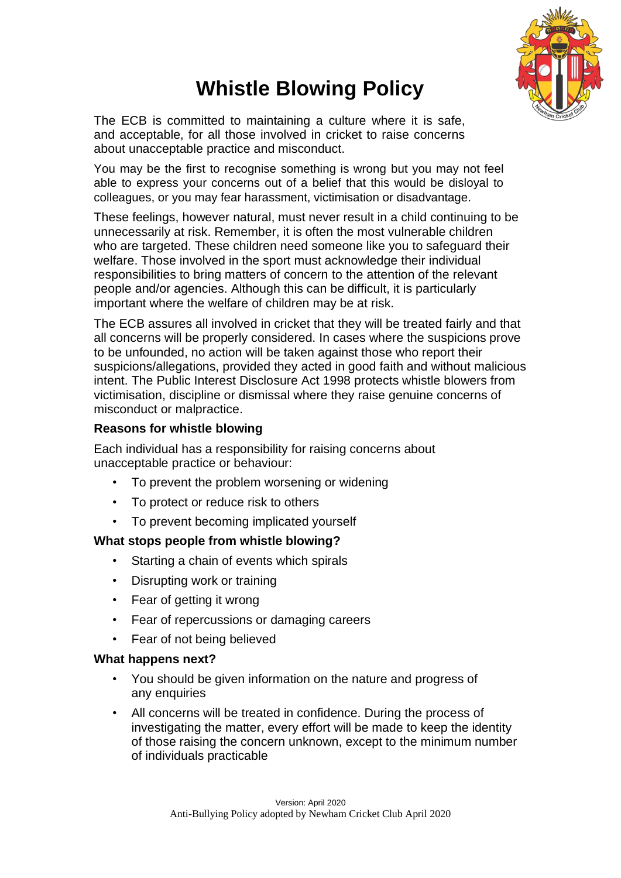

# **Whistle Blowing Policy**

The ECB is committed to maintaining a culture where it is safe, and acceptable, for all those involved in cricket to raise concerns about unacceptable practice and misconduct.

You may be the first to recognise something is wrong but you may not feel able to express your concerns out of a belief that this would be disloyal to colleagues, or you may fear harassment, victimisation or disadvantage.

These feelings, however natural, must never result in a child continuing to be unnecessarily at risk. Remember, it is often the most vulnerable children who are targeted. These children need someone like you to safeguard their welfare. Those involved in the sport must acknowledge their individual responsibilities to bring matters of concern to the attention of the relevant people and/or agencies. Although this can be difficult, it is particularly important where the welfare of children may be at risk.

The ECB assures all involved in cricket that they will be treated fairly and that all concerns will be properly considered. In cases where the suspicions prove to be unfounded, no action will be taken against those who report their suspicions/allegations, provided they acted in good faith and without malicious intent. The Public Interest Disclosure Act 1998 protects whistle blowers from victimisation, discipline or dismissal where they raise genuine concerns of misconduct or malpractice.

# **Reasons for whistle blowing**

Each individual has a responsibility for raising concerns about unacceptable practice or behaviour:

- To prevent the problem worsening or widening
- To protect or reduce risk to others
- To prevent becoming implicated yourself

# **What stops people from whistle blowing?**

- Starting a chain of events which spirals
- Disrupting work or training
- Fear of getting it wrong
- Fear of repercussions or damaging careers
- Fear of not being believed

# **What happens next?**

- You should be given information on the nature and progress of any enquiries
- All concerns will be treated in confidence. During the process of investigating the matter, every effort will be made to keep the identity of those raising the concern unknown, except to the minimum number of individuals practicable